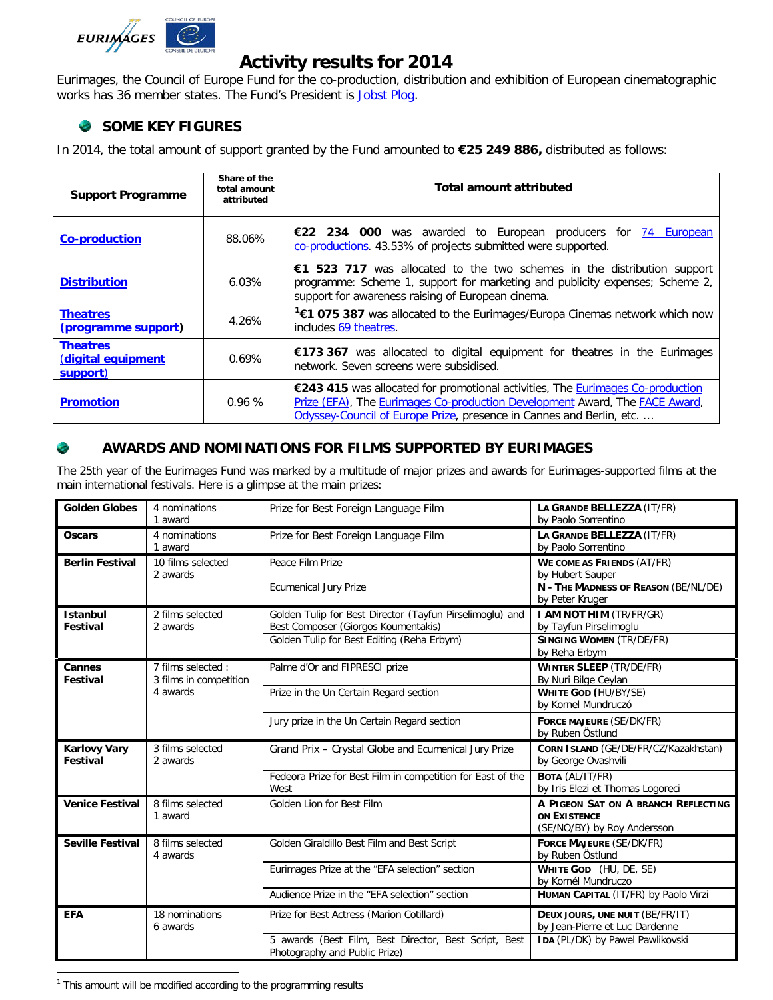

# **Activity results for 2014**

Eurimages, the Council of Europe Fund for the co-production, distribution and exhibition of European cinematographic works has 36 member states. The Fund's President is [Jobst Plog.](http://www.coe.int/t/dg4/eurimages/About/President_en.asp)

## **SOME KEY FIGURES**

In 2014, the total amount of support granted by the Fund amounted to **€25 249 886,** distributed as follows:

| <b>Support Programme</b>                          | Share of the<br>total amount<br>attributed | Total amount attributed                                                                                                                                                                                                              |  |
|---------------------------------------------------|--------------------------------------------|--------------------------------------------------------------------------------------------------------------------------------------------------------------------------------------------------------------------------------------|--|
| <b>Co-production</b>                              | 88.06%                                     | €22 234 000 was awarded to European producers for 74 European<br>co-productions. 43.53% of projects submitted were supported.                                                                                                        |  |
| <b>Distribution</b>                               | $6.03\%$                                   | €1 523 717 was allocated to the two schemes in the distribution support<br>programme: Scheme 1, support for marketing and publicity expenses; Scheme 2,<br>support for awareness raising of European cinema.                         |  |
| <b>Theatres</b><br>(programme support)            | 4.26%                                      | <sup>1</sup> €1 075 387 was allocated to the Eurimages/Europa Cinemas network which now<br>includes 69 theatres.                                                                                                                     |  |
| <b>Theatres</b><br>(digital equipment<br>support) | 0.69%                                      | €173 367 was allocated to digital equipment for theatres in the Eurimages<br>network. Seven screens were subsidised.                                                                                                                 |  |
| <b>Promotion</b>                                  | 0.96%                                      | €243 415 was allocated for promotional activities, The Eurimages Co-production<br>Prize (EFA), The Eurimages Co-production Development Award, The FACE Award,<br>Odyssey-Council of Europe Prize, presence in Cannes and Berlin, etc |  |

### C. **AWARDS AND NOMINATIONS FOR FILMS SUPPORTED BY EURIMAGES**

The 25th year of the Eurimages Fund was marked by a multitude of major prizes and awards for Eurimages-supported films at the main international festivals. Here is a glimpse at the main prizes:

| <b>Golden Globes</b>                   | 4 nominations<br>1 award                                 | Prize for Best Foreign Language Film                                                            | LA GRANDE BELLEZZA (IT/FR)<br>by Paolo Sorrentino                                  |
|----------------------------------------|----------------------------------------------------------|-------------------------------------------------------------------------------------------------|------------------------------------------------------------------------------------|
| <b>Oscars</b>                          | 4 nominations<br>1 award                                 | Prize for Best Foreign Language Film                                                            | LA GRANDE BELLEZZA (IT/FR)<br>by Paolo Sorrentino                                  |
| <b>Berlin Festival</b>                 | 10 films selected<br>2 awards                            | Peace Film Prize                                                                                | <b>WE COME AS FRIENDS (AT/FR)</b><br>by Hubert Sauper                              |
|                                        |                                                          | <b>Ecumenical Jury Prize</b>                                                                    | N - THE MADNESS OF REASON (BE/NL/DE)<br>by Peter Kruger                            |
| <b>Istanbul</b><br><b>Festival</b>     | 2 films selected<br>2 awards                             | Golden Tulip for Best Director (Tayfun Pirselimoglu) and<br>Best Composer (Giorgos Koumentakis) | I AM NOT HIM (TR/FR/GR)<br>by Tayfun Pirselimoglu                                  |
|                                        |                                                          | Golden Tulip for Best Editing (Reha Erbym)                                                      | <b>SINGING WOMEN (TR/DE/FR)</b><br>by Reha Erbym                                   |
| Cannes<br><b>Festival</b>              | 7 films selected :<br>3 films in competition<br>4 awards | Palme d'Or and FIPRESCI prize                                                                   | <b>WINTER SLEEP (TR/DE/FR)</b><br>By Nuri Bilge Ceylan                             |
|                                        |                                                          | Prize in the Un Certain Regard section                                                          | <b>WHITE GOD (HU/BY/SE)</b><br>by Kornel Mundruczó                                 |
|                                        |                                                          | Jury prize in the Un Certain Regard section                                                     | FORCE MAJEURE (SE/DK/FR)<br>by Ruben Östlund                                       |
| <b>Karlovy Vary</b><br><b>Festival</b> | 3 films selected<br>2 awards                             | Grand Prix - Crystal Globe and Ecumenical Jury Prize                                            | CORN ISLAND (GE/DE/FR/CZ/Kazakhstan)<br>by George Ovashvili                        |
|                                        |                                                          | Fedeora Prize for Best Film in competition for East of the<br>West                              | <b>BOTA (AL/IT/FR)</b><br>by Iris Elezi et Thomas Logoreci                         |
| <b>Venice Festival</b>                 | 8 films selected<br>1 award                              | Golden Lion for Best Film                                                                       | A PIGEON SAT ON A BRANCH REFLECTING<br>ON EXISTENCE<br>(SE/NO/BY) by Roy Andersson |
| <b>Seville Festival</b>                | 8 films selected<br>4 awards                             | Golden Giraldillo Best Film and Best Script                                                     | <b>FORCE MAJEURE (SE/DK/FR)</b><br>by Ruben Östlund                                |
|                                        |                                                          | Eurimages Prize at the "EFA selection" section                                                  | WHITE GOD (HU, DE, SE)<br>by Kornél Mundruczo                                      |
|                                        |                                                          | Audience Prize in the "EFA selection" section                                                   | HUMAN CAPITAL (IT/FR) by Paolo Virzi                                               |
| <b>EFA</b>                             | 18 nominations<br>6 awards                               | Prize for Best Actress (Marion Cotillard)                                                       | DEUX JOURS, UNE NUIT (BE/FR/IT)<br>by Jean-Pierre et Luc Dardenne                  |
|                                        |                                                          | 5 awards (Best Film, Best Director, Best Script, Best<br>Photography and Public Prize)          | IDA (PL/DK) by Pawel Pawlikovski                                                   |

<span id="page-0-0"></span> $1$  This amount will be modified according to the programming results  $\overline{a}$